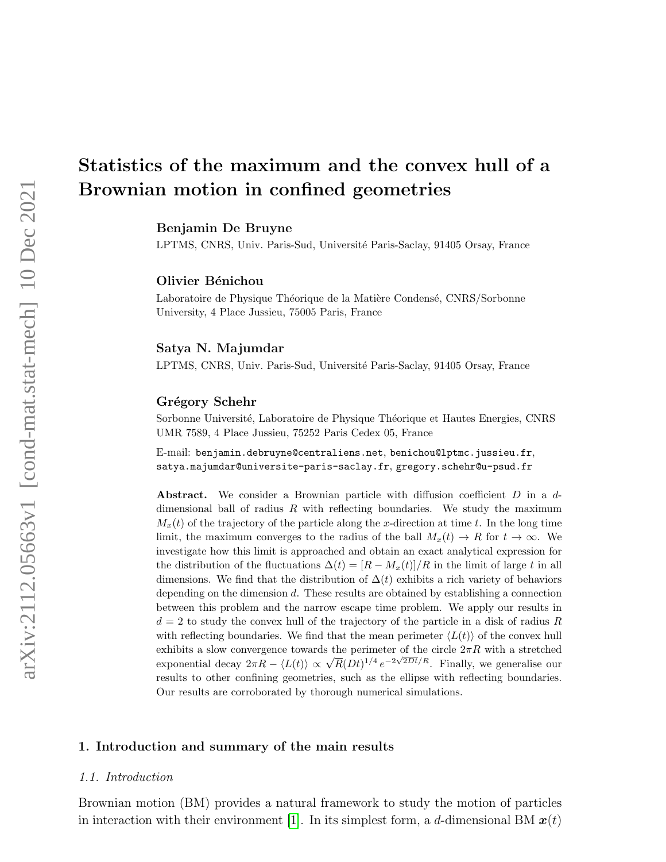# Statistics of the maximum and the convex hull of a Brownian motion in confined geometries

Benjamin De Bruyne

LPTMS, CNRS, Univ. Paris-Sud, Université Paris-Saclay, 91405 Orsay, France

Olivier Bénichou

Laboratoire de Physique Théorique de la Matière Condensé, CNRS/Sorbonne University, 4 Place Jussieu, 75005 Paris, France

#### Satya N. Majumdar

LPTMS, CNRS, Univ. Paris-Sud, Université Paris-Saclay, 91405 Orsay, France

#### Grégory Schehr

Sorbonne Université, Laboratoire de Physique Théorique et Hautes Energies, CNRS UMR 7589, 4 Place Jussieu, 75252 Paris Cedex 05, France

E-mail: benjamin.debruyne@centraliens.net, benichou@lptmc.jussieu.fr, satya.majumdar@universite-paris-saclay.fr, gregory.schehr@u-psud.fr

Abstract. We consider a Brownian particle with diffusion coefficient  $D$  in a  $d$ dimensional ball of radius  $R$  with reflecting boundaries. We study the maximum  $M<sub>x</sub>(t)$  of the trajectory of the particle along the x-direction at time t. In the long time limit, the maximum converges to the radius of the ball  $M_x(t) \to R$  for  $t \to \infty$ . We investigate how this limit is approached and obtain an exact analytical expression for the distribution of the fluctuations  $\Delta(t) = [R - M_x(t)]/R$  in the limit of large t in all dimensions. We find that the distribution of  $\Delta(t)$  exhibits a rich variety of behaviors depending on the dimension d. These results are obtained by establishing a connection between this problem and the narrow escape time problem. We apply our results in  $d = 2$  to study the convex hull of the trajectory of the particle in a disk of radius R with reflecting boundaries. We find that the mean perimeter  $\langle L(t) \rangle$  of the convex hull exhibits a slow convergence towards the perimeter of the circle  $2\pi R$  with a stretched exponential decay  $2\pi R - \langle L(t) \rangle \propto \sqrt{R}(Dt)^{1/4} e^{-2\sqrt{2Dt}/R}$ . Finally, we generalise our results to other confining geometries, such as the ellipse with reflecting boundaries. Our results are corroborated by thorough numerical simulations.

## 1. Introduction and summary of the main results

#### 1.1. Introduction

Brownian motion (BM) provides a natural framework to study the motion of particles in interaction with their environment [\[1\]](#page-16-0). In its simplest form, a d-dimensional BM  $x(t)$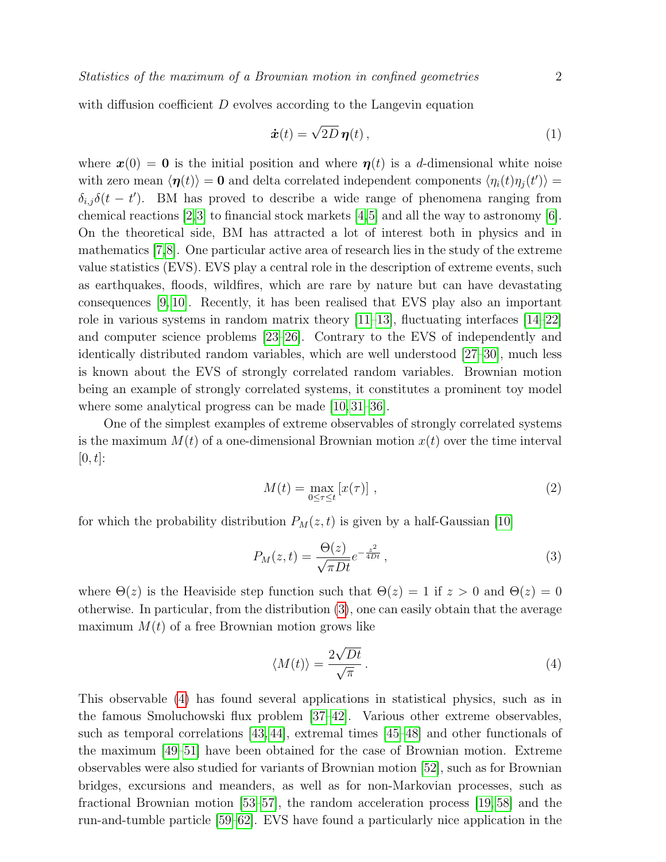with diffusion coefficient  $D$  evolves according to the Langevin equation

<span id="page-1-2"></span>
$$
\dot{\boldsymbol{x}}(t) = \sqrt{2D} \boldsymbol{\eta}(t) \,, \tag{1}
$$

where  $x(0) = 0$  is the initial position and where  $\eta(t)$  is a d-dimensional white noise with zero mean  $\langle \eta(t) \rangle = 0$  and delta correlated independent components  $\langle \eta_i(t) \eta_j(t') \rangle =$  $\delta_{i,j}\delta(t-t')$ . BM has proved to describe a wide range of phenomena ranging from chemical reactions [\[2,](#page-16-1)[3\]](#page-16-2) to financial stock markets [\[4,](#page-16-3)[5\]](#page-16-4) and all the way to astronomy [\[6\]](#page-16-5). On the theoretical side, BM has attracted a lot of interest both in physics and in mathematics [\[7,](#page-16-6)[8\]](#page-16-7). One particular active area of research lies in the study of the extreme value statistics (EVS). EVS play a central role in the description of extreme events, such as earthquakes, floods, wildfires, which are rare by nature but can have devastating consequences [\[9,](#page-16-8) [10\]](#page-16-9). Recently, it has been realised that EVS play also an important role in various systems in random matrix theory  $[11-13]$  $[11-13]$ , fluctuating interfaces  $[14-22]$  $[14-22]$ and computer science problems [\[23–](#page-16-14)[26\]](#page-16-15). Contrary to the EVS of independently and identically distributed random variables, which are well understood [\[27–](#page-17-0)[30\]](#page-17-1), much less is known about the EVS of strongly correlated random variables. Brownian motion being an example of strongly correlated systems, it constitutes a prominent toy model where some analytical progress can be made [\[10,](#page-16-9) [31](#page-17-2)[–36\]](#page-17-3).

One of the simplest examples of extreme observables of strongly correlated systems is the maximum  $M(t)$  of a one-dimensional Brownian motion  $x(t)$  over the time interval  $[0, t]$ :

<span id="page-1-0"></span>
$$
M(t) = \max_{0 \le \tau \le t} [x(\tau)] \tag{2}
$$

for which the probability distribution  $P_M(z,t)$  is given by a half-Gaussian [\[10\]](#page-16-9)

$$
P_M(z,t) = \frac{\Theta(z)}{\sqrt{\pi Dt}} e^{-\frac{z^2}{4Dt}},\qquad(3)
$$

where  $\Theta(z)$  is the Heaviside step function such that  $\Theta(z) = 1$  if  $z > 0$  and  $\Theta(z) = 0$ otherwise. In particular, from the distribution [\(3\)](#page-1-0), one can easily obtain that the average maximum  $M(t)$  of a free Brownian motion grows like

<span id="page-1-1"></span>
$$
\langle M(t) \rangle = \frac{2\sqrt{Dt}}{\sqrt{\pi}}.
$$
 (4)

This observable [\(4\)](#page-1-1) has found several applications in statistical physics, such as in the famous Smoluchowski flux problem [\[37](#page-17-4)[–42\]](#page-17-5). Various other extreme observables, such as temporal correlations [\[43,](#page-17-6) [44\]](#page-17-7), extremal times [\[45–](#page-17-8)[48\]](#page-17-9) and other functionals of the maximum [\[49](#page-17-10)[–51\]](#page-17-11) have been obtained for the case of Brownian motion. Extreme observables were also studied for variants of Brownian motion [\[52\]](#page-17-12), such as for Brownian bridges, excursions and meanders, as well as for non-Markovian processes, such as fractional Brownian motion [\[53–](#page-17-13)[57\]](#page-17-14), the random acceleration process [\[19,](#page-16-16) [58\]](#page-17-15) and the run-and-tumble particle [\[59–](#page-17-16)[62\]](#page-17-17). EVS have found a particularly nice application in the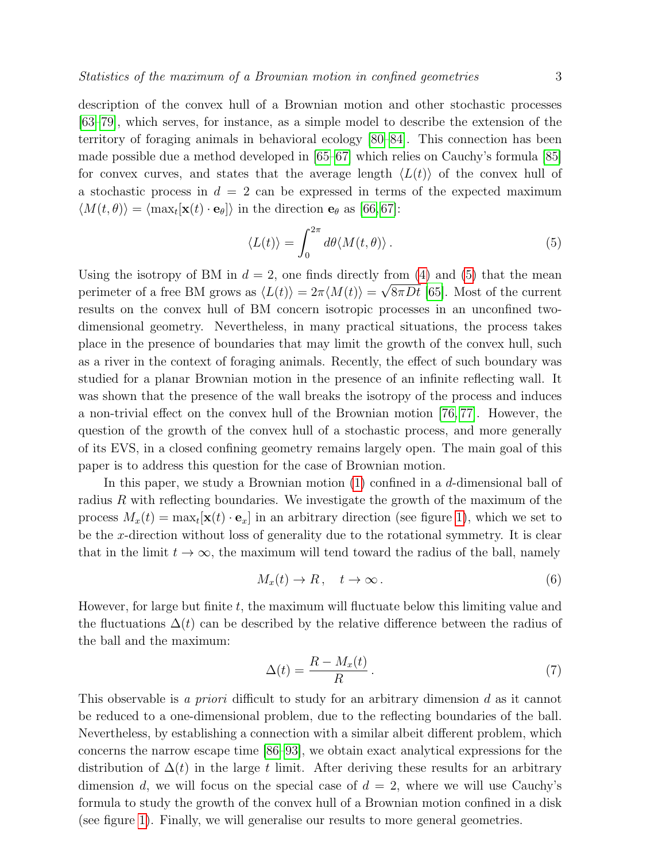description of the convex hull of a Brownian motion and other stochastic processes [\[63–](#page-17-18)[79\]](#page-18-0), which serves, for instance, as a simple model to describe the extension of the territory of foraging animals in behavioral ecology [\[80–](#page-18-1)[84\]](#page-18-2). This connection has been made possible due a method developed in [\[65–](#page-17-19)[67\]](#page-17-20) which relies on Cauchy's formula [\[85\]](#page-18-3) for convex curves, and states that the average length  $\langle L(t) \rangle$  of the convex hull of a stochastic process in  $d = 2$  can be expressed in terms of the expected maximum  $\langle M(t, \theta) \rangle = \langle \max_t [\mathbf{x}(t) \cdot \mathbf{e}_{\theta}] \rangle$  in the direction  $\mathbf{e}_{\theta}$  as [\[66,](#page-17-21) [67\]](#page-17-20):

<span id="page-2-0"></span>
$$
\langle L(t) \rangle = \int_0^{2\pi} d\theta \langle M(t, \theta) \rangle.
$$
 (5)

Using the isotropy of BM in  $d = 2$ , one finds directly from [\(4\)](#page-1-1) and [\(5\)](#page-2-0) that the mean perimeter of a free BM grows as  $\langle L(t) \rangle = 2\pi \langle M(t) \rangle = \sqrt{8\pi Dt}$  [\[65\]](#page-17-19). Most of the current results on the convex hull of BM concern isotropic processes in an unconfined twodimensional geometry. Nevertheless, in many practical situations, the process takes place in the presence of boundaries that may limit the growth of the convex hull, such as a river in the context of foraging animals. Recently, the effect of such boundary was studied for a planar Brownian motion in the presence of an infinite reflecting wall. It was shown that the presence of the wall breaks the isotropy of the process and induces a non-trivial effect on the convex hull of the Brownian motion [\[76,](#page-18-4) [77\]](#page-18-5). However, the question of the growth of the convex hull of a stochastic process, and more generally of its EVS, in a closed confining geometry remains largely open. The main goal of this paper is to address this question for the case of Brownian motion.

In this paper, we study a Brownian motion [\(1\)](#page-1-2) confined in a d-dimensional ball of radius R with reflecting boundaries. We investigate the growth of the maximum of the process  $M_x(t) = \max_t [\mathbf{x}(t) \cdot \mathbf{e}_x]$  in an arbitrary direction (see figure [1\)](#page-3-0), which we set to be the x-direction without loss of generality due to the rotational symmetry. It is clear that in the limit  $t \to \infty$ , the maximum will tend toward the radius of the ball, namely

$$
M_x(t) \to R, \quad t \to \infty. \tag{6}
$$

However, for large but finite  $t$ , the maximum will fluctuate below this limiting value and the fluctuations  $\Delta(t)$  can be described by the relative difference between the radius of the ball and the maximum:

<span id="page-2-1"></span>
$$
\Delta(t) = \frac{R - M_x(t)}{R} \,. \tag{7}
$$

This observable is a priori difficult to study for an arbitrary dimension d as it cannot be reduced to a one-dimensional problem, due to the reflecting boundaries of the ball. Nevertheless, by establishing a connection with a similar albeit different problem, which concerns the narrow escape time [\[86–](#page-18-6)[93\]](#page-18-7), we obtain exact analytical expressions for the distribution of  $\Delta(t)$  in the large t limit. After deriving these results for an arbitrary dimension d, we will focus on the special case of  $d = 2$ , where we will use Cauchy's formula to study the growth of the convex hull of a Brownian motion confined in a disk (see figure [1\)](#page-3-0). Finally, we will generalise our results to more general geometries.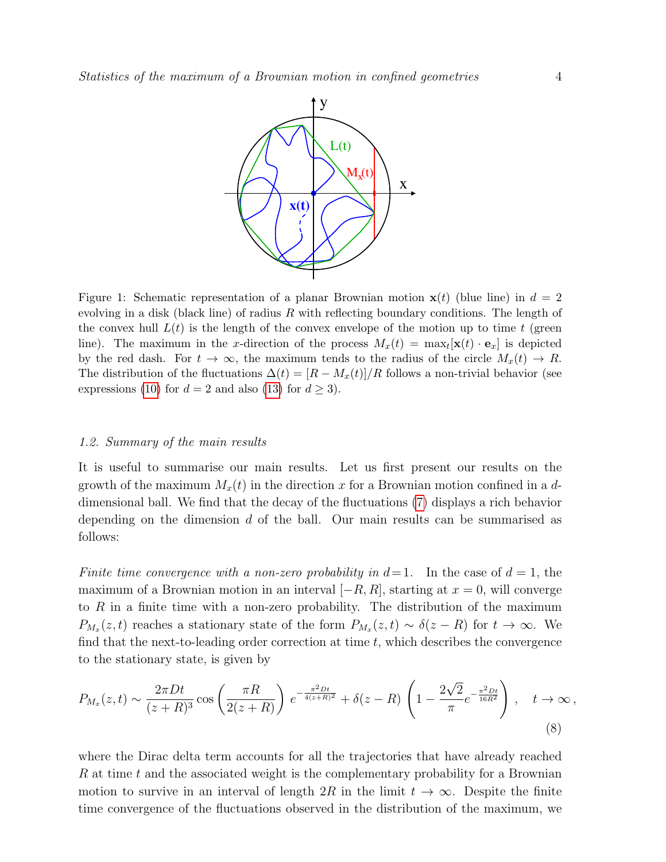<span id="page-3-0"></span>

Figure 1: Schematic representation of a planar Brownian motion  $x(t)$  (blue line) in  $d = 2$ evolving in a disk (black line) of radius  $R$  with reflecting boundary conditions. The length of the convex hull  $L(t)$  is the length of the convex envelope of the motion up to time t (green line). The maximum in the x-direction of the process  $M_x(t) = \max_t [\mathbf{x}(t) \cdot \mathbf{e}_x]$  is depicted by the red dash. For  $t \to \infty$ , the maximum tends to the radius of the circle  $M_x(t) \to R$ . The distribution of the fluctuations  $\Delta(t) = [R - M_x(t)]/R$  follows a non-trivial behavior (see expressions [\(10\)](#page-4-0) for  $d = 2$  and also [\(13\)](#page-4-1) for  $d \ge 3$ ).

#### 1.2. Summary of the main results

It is useful to summarise our main results. Let us first present our results on the growth of the maximum  $M_x(t)$  in the direction x for a Brownian motion confined in a ddimensional ball. We find that the decay of the fluctuations [\(7\)](#page-2-1) displays a rich behavior depending on the dimension  $d$  of the ball. Our main results can be summarised as follows:

Finite time convergence with a non-zero probability in  $d=1$ . In the case of  $d=1$ , the maximum of a Brownian motion in an interval  $[-R, R]$ , starting at  $x = 0$ , will converge to  $R$  in a finite time with a non-zero probability. The distribution of the maximum  $P_{M_x}(z,t)$  reaches a stationary state of the form  $P_{M_x}(z,t) \sim \delta(z-R)$  for  $t \to \infty$ . We find that the next-to-leading order correction at time  $t$ , which describes the convergence to the stationary state, is given by

<span id="page-3-1"></span>
$$
P_{M_x}(z,t) \sim \frac{2\pi Dt}{(z+R)^3} \cos\left(\frac{\pi R}{2(z+R)}\right) e^{-\frac{\pi^2 Dt}{4(z+R)^2}} + \delta(z-R) \left(1 - \frac{2\sqrt{2}}{\pi} e^{-\frac{\pi^2 Dt}{16R^2}}\right), \quad t \to \infty,
$$
\n(8)

where the Dirac delta term accounts for all the trajectories that have already reached R at time t and the associated weight is the complementary probability for a Brownian motion to survive in an interval of length  $2R$  in the limit  $t \to \infty$ . Despite the finite time convergence of the fluctuations observed in the distribution of the maximum, we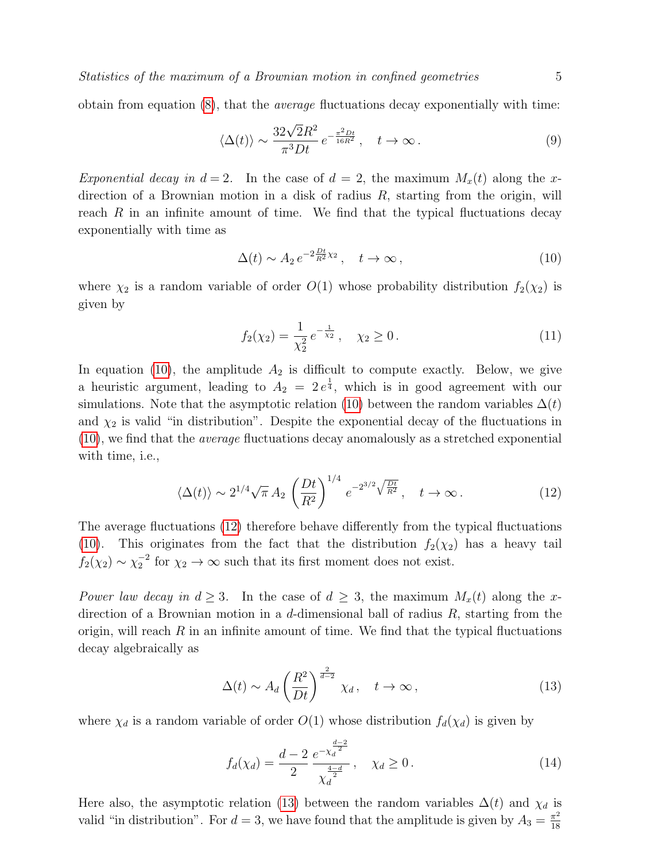obtain from equation  $(8)$ , that the *average* fluctuations decay exponentially with time:

<span id="page-4-3"></span>
$$
\langle \Delta(t) \rangle \sim \frac{32\sqrt{2}R^2}{\pi^3 Dt} e^{-\frac{\pi^2 Dt}{16R^2}}, \quad t \to \infty.
$$
 (9)

Exponential decay in  $d = 2$ . In the case of  $d = 2$ , the maximum  $M_x(t)$  along the xdirection of a Brownian motion in a disk of radius  $R$ , starting from the origin, will reach  $R$  in an infinite amount of time. We find that the typical fluctuations decay exponentially with time as

<span id="page-4-0"></span>
$$
\Delta(t) \sim A_2 e^{-2\frac{Dt}{R^2}\chi_2}, \quad t \to \infty,
$$
\n(10)

where  $\chi_2$  is a random variable of order  $O(1)$  whose probability distribution  $f_2(\chi_2)$  is given by

<span id="page-4-4"></span><span id="page-4-2"></span>
$$
f_2(\chi_2) = \frac{1}{\chi_2^2} e^{-\frac{1}{\chi_2}}, \quad \chi_2 \ge 0.
$$
 (11)

In equation [\(10\)](#page-4-0), the amplitude  $A_2$  is difficult to compute exactly. Below, we give a heuristic argument, leading to  $A_2 = 2e^{\frac{1}{4}}$ , which is in good agreement with our simulations. Note that the asymptotic relation [\(10\)](#page-4-0) between the random variables  $\Delta(t)$ and  $\chi_2$  is valid "in distribution". Despite the exponential decay of the fluctuations in  $(10)$ , we find that the *average* fluctuations decay anomalously as a stretched exponential with time, i.e.,

$$
\langle \Delta(t) \rangle \sim 2^{1/4} \sqrt{\pi} A_2 \left(\frac{Dt}{R^2}\right)^{1/4} e^{-2^{3/2} \sqrt{\frac{Dt}{R^2}}}, \quad t \to \infty.
$$
 (12)

The average fluctuations [\(12\)](#page-4-2) therefore behave differently from the typical fluctuations [\(10\)](#page-4-0). This originates from the fact that the distribution  $f_2(\chi_2)$  has a heavy tail  $f_2(\chi_2) \sim \chi_2^{-2}$  for  $\chi_2 \to \infty$  such that its first moment does not exist.

Power law decay in  $d \geq 3$ . In the case of  $d \geq 3$ , the maximum  $M_x(t)$  along the xdirection of a Brownian motion in a d-dimensional ball of radius  $R$ , starting from the origin, will reach  $R$  in an infinite amount of time. We find that the typical fluctuations decay algebraically as

<span id="page-4-1"></span>
$$
\Delta(t) \sim A_d \left(\frac{R^2}{Dt}\right)^{\frac{2}{d-2}} \chi_d, \quad t \to \infty,
$$
\n(13)

where  $\chi_d$  is a random variable of order  $O(1)$  whose distribution  $f_d(\chi_d)$  is given by

<span id="page-4-5"></span>
$$
f_d(\chi_d) = \frac{d-2}{2} \frac{e^{-\chi_d^{\frac{d-2}{2}}}}{\chi_d^{\frac{4-d}{2}}}, \quad \chi_d \ge 0.
$$
 (14)

Here also, the asymptotic relation [\(13\)](#page-4-1) between the random variables  $\Delta(t)$  and  $\chi_d$  is valid "in distribution". For  $d = 3$ , we have found that the amplitude is given by  $A_3 = \frac{\pi^2}{18}$ 18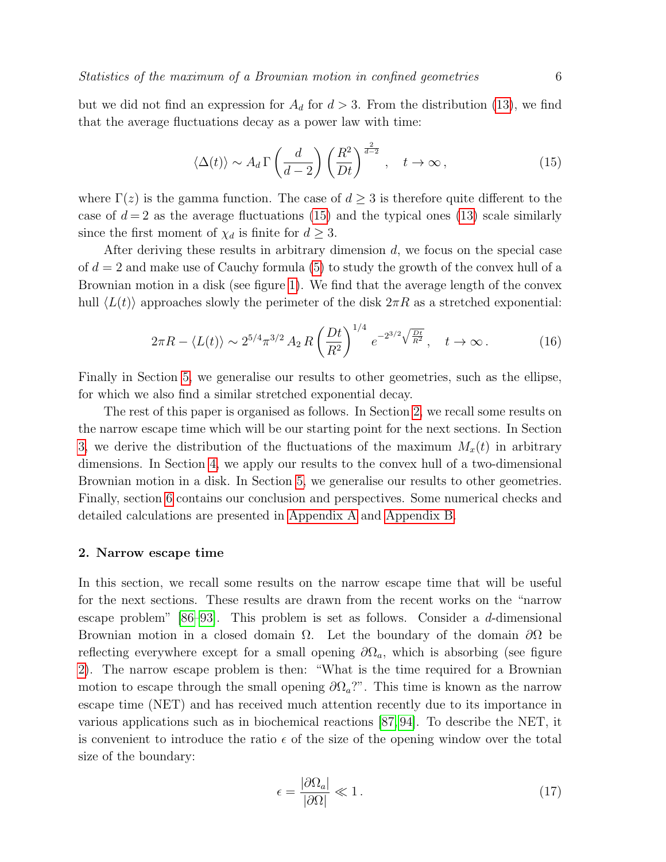but we did not find an expression for  $A_d$  for  $d > 3$ . From the distribution [\(13\)](#page-4-1), we find that the average fluctuations decay as a power law with time:

<span id="page-5-0"></span>
$$
\langle \Delta(t) \rangle \sim A_d \,\Gamma\left(\frac{d}{d-2}\right) \left(\frac{R^2}{Dt}\right)^{\frac{2}{d-2}}, \quad t \to \infty \,, \tag{15}
$$

where  $\Gamma(z)$  is the gamma function. The case of  $d \geq 3$  is therefore quite different to the case of  $d=2$  as the average fluctuations [\(15\)](#page-5-0) and the typical ones [\(13\)](#page-4-1) scale similarly since the first moment of  $\chi_d$  is finite for  $d \geq 3$ .

After deriving these results in arbitrary dimension  $d$ , we focus on the special case of  $d = 2$  and make use of Cauchy formula [\(5\)](#page-2-0) to study the growth of the convex hull of a Brownian motion in a disk (see figure [1\)](#page-3-0). We find that the average length of the convex hull  $\langle L(t)\rangle$  approaches slowly the perimeter of the disk  $2\pi R$  as a stretched exponential:

$$
2\pi R - \langle L(t) \rangle \sim 2^{5/4} \pi^{3/2} A_2 R \left(\frac{Dt}{R^2}\right)^{1/4} e^{-2^{3/2} \sqrt{\frac{Dt}{R^2}}}, \quad t \to \infty.
$$
 (16)

Finally in Section [5,](#page-13-0) we generalise our results to other geometries, such as the ellipse, for which we also find a similar stretched exponential decay.

The rest of this paper is organised as follows. In Section [2,](#page-5-1) we recall some results on the narrow escape time which will be our starting point for the next sections. In Section [3,](#page-7-0) we derive the distribution of the fluctuations of the maximum  $M_x(t)$  in arbitrary dimensions. In Section [4,](#page-11-0) we apply our results to the convex hull of a two-dimensional Brownian motion in a disk. In Section [5,](#page-13-0) we generalise our results to other geometries. Finally, section [6](#page-14-0) contains our conclusion and perspectives. Some numerical checks and detailed calculations are presented in [Appendix A](#page-15-0) and [Appendix B.](#page-15-1)

#### <span id="page-5-1"></span>2. Narrow escape time

In this section, we recall some results on the narrow escape time that will be useful for the next sections. These results are drawn from the recent works on the "narrow escape problem"  $[86-93]$ . This problem is set as follows. Consider a d-dimensional Brownian motion in a closed domain  $\Omega$ . Let the boundary of the domain  $\partial\Omega$  be reflecting everywhere except for a small opening  $\partial\Omega_a$ , which is absorbing (see figure [2\)](#page-6-0). The narrow escape problem is then: "What is the time required for a Brownian motion to escape through the small opening  $\partial\Omega_a$ ?". This time is known as the narrow escape time (NET) and has received much attention recently due to its importance in various applications such as in biochemical reactions [\[87,](#page-18-8) [94\]](#page-18-9). To describe the NET, it is convenient to introduce the ratio  $\epsilon$  of the size of the opening window over the total size of the boundary:

$$
\epsilon = \frac{|\partial \Omega_a|}{|\partial \Omega|} \ll 1. \tag{17}
$$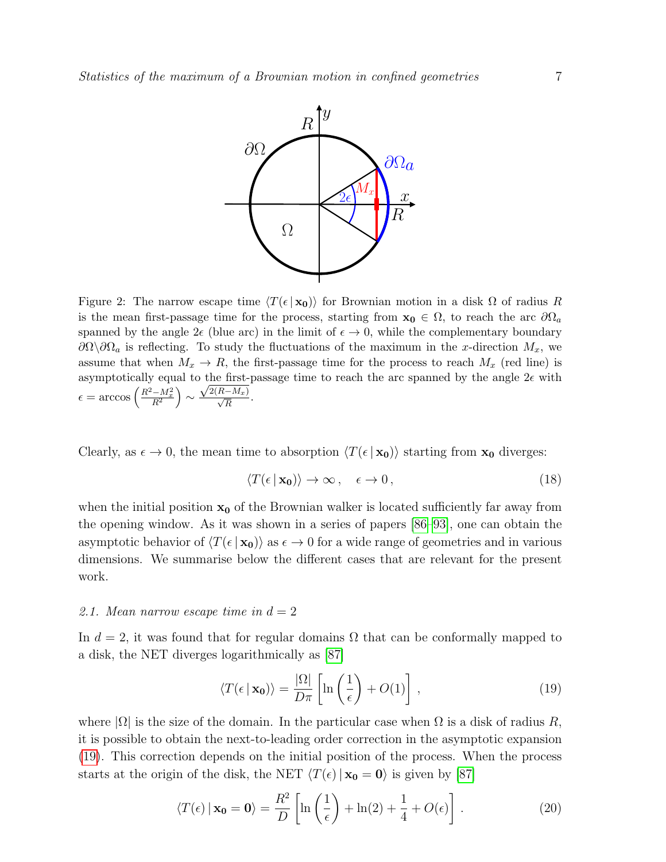<span id="page-6-0"></span>

Figure 2: The narrow escape time  $\langle T(\epsilon | \mathbf{x_0}) \rangle$  for Brownian motion in a disk  $\Omega$  of radius R is the mean first-passage time for the process, starting from  $x_0 \in \Omega$ , to reach the arc  $\partial\Omega_a$ spanned by the angle  $2\epsilon$  (blue arc) in the limit of  $\epsilon \to 0$ , while the complementary boundary  $\partial\Omega\setminus\partial\Omega_a$  is reflecting. To study the fluctuations of the maximum in the x-direction  $M_x$ , we assume that when  $M_x \to R$ , the first-passage time for the process to reach  $M_x$  (red line) is asymptotically equal to the first-passage time to reach the arc spanned by the angle  $2\epsilon$  with  $\epsilon = \arccos\left(\frac{R^2 - M_x^2}{R^2}\right) \sim$  $\frac{\sqrt{2(R-M_x)}}{\sqrt{R}}$ .

Clearly, as  $\epsilon \to 0$ , the mean time to absorption  $\langle T(\epsilon | \mathbf{x_0})\rangle$  starting from  $\mathbf{x_0}$  diverges:

$$
\langle T(\epsilon \mid \mathbf{x_0}) \rangle \to \infty \,, \quad \epsilon \to 0 \,, \tag{18}
$$

when the initial position  $x_0$  of the Brownian walker is located sufficiently far away from the opening window. As it was shown in a series of papers [\[86–](#page-18-6)[93\]](#page-18-7), one can obtain the asymptotic behavior of  $\langle T(\epsilon | \mathbf{x_0})\rangle$  as  $\epsilon \to 0$  for a wide range of geometries and in various dimensions. We summarise below the different cases that are relevant for the present work.

## 2.1. Mean narrow escape time in  $d = 2$

In  $d = 2$ , it was found that for regular domains  $\Omega$  that can be conformally mapped to a disk, the NET diverges logarithmically as [\[87\]](#page-18-8)

<span id="page-6-2"></span><span id="page-6-1"></span>
$$
\langle T(\epsilon \mid \mathbf{x_0}) \rangle = \frac{|\Omega|}{D\pi} \left[ \ln \left( \frac{1}{\epsilon} \right) + O(1) \right], \tag{19}
$$

where  $|\Omega|$  is the size of the domain. In the particular case when  $\Omega$  is a disk of radius R, it is possible to obtain the next-to-leading order correction in the asymptotic expansion [\(19\)](#page-6-1). This correction depends on the initial position of the process. When the process starts at the origin of the disk, the NET  $\langle T(\epsilon) | x_0 = 0 \rangle$  is given by [\[87\]](#page-18-8)

$$
\langle T(\epsilon) \, | \, \mathbf{x_0} = \mathbf{0} \rangle = \frac{R^2}{D} \left[ \ln \left( \frac{1}{\epsilon} \right) + \ln(2) + \frac{1}{4} + O(\epsilon) \right] \,. \tag{20}
$$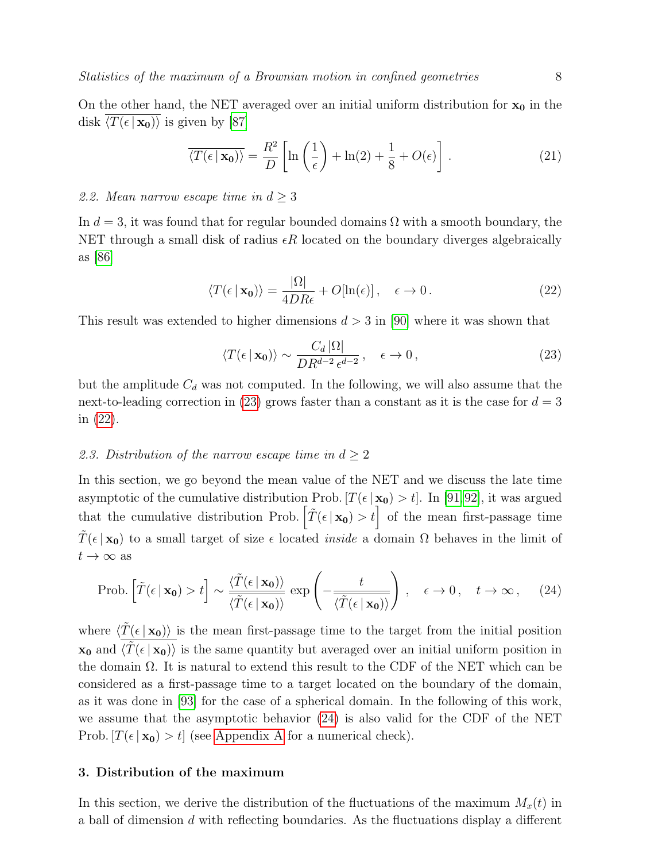<span id="page-7-4"></span>
$$
\overline{\langle T(\epsilon | \mathbf{x_0}) \rangle} = \frac{R^2}{D} \left[ \ln \left( \frac{1}{\epsilon} \right) + \ln(2) + \frac{1}{8} + O(\epsilon) \right]. \tag{21}
$$

# 2.2. Mean narrow escape time in  $d \geq 3$

In  $d = 3$ , it was found that for regular bounded domains  $\Omega$  with a smooth boundary, the NET through a small disk of radius  $\epsilon R$  located on the boundary diverges algebraically as [\[86\]](#page-18-6)

$$
\langle T(\epsilon \mid \mathbf{x_0}) \rangle = \frac{|\Omega|}{4DR\epsilon} + O[\ln(\epsilon)], \quad \epsilon \to 0.
$$
 (22)

This result was extended to higher dimensions  $d > 3$  in [\[90\]](#page-18-10) where it was shown that

<span id="page-7-3"></span><span id="page-7-2"></span><span id="page-7-1"></span>
$$
\langle T(\epsilon \mid \mathbf{x_0}) \rangle \sim \frac{C_d \, |\Omega|}{DR^{d-2} \, \epsilon^{d-2}} \,, \quad \epsilon \to 0 \,, \tag{23}
$$

but the amplitude  $C_d$  was not computed. In the following, we will also assume that the next-to-leading correction in [\(23\)](#page-7-1) grows faster than a constant as it is the case for  $d = 3$ in [\(22\)](#page-7-2).

# 2.3. Distribution of the narrow escape time in  $d \geq 2$

In this section, we go beyond the mean value of the NET and we discuss the late time asymptotic of the cumulative distribution Prob.  $[T(\epsilon | \mathbf{x_0}) > t]$ . In [\[91,](#page-18-11)[92\]](#page-18-12), it was argued that the cumulative distribution Prob.  $\left[ \tilde{T}(\epsilon | \mathbf{x_0}) > t \right]$  of the mean first-passage time  $T(\epsilon | \mathbf{x_0})$  to a small target of size  $\epsilon$  located *inside* a domain  $\Omega$  behaves in the limit of  $t \to \infty$  as

$$
\text{Prob.}\left[\tilde{T}(\epsilon \mid \mathbf{x_0}) > t\right] \sim \frac{\langle \tilde{T}(\epsilon \mid \mathbf{x_0}) \rangle}{\langle \tilde{T}(\epsilon \mid \mathbf{x_0}) \rangle} \exp\left(-\frac{t}{\langle \tilde{T}(\epsilon \mid \mathbf{x_0}) \rangle}\right), \quad \epsilon \to 0, \quad t \to \infty, \quad (24)
$$

where  $\langle \tilde{T}(\epsilon | \mathbf{x_0}) \rangle$  is the mean first-passage time to the target from the initial position  $\mathbf{x_0}$  and  $\langle \tilde{T}(\epsilon | \mathbf{x_0}) \rangle$  is the same quantity but averaged over an initial uniform position in the domain  $\Omega$ . It is natural to extend this result to the CDF of the NET which can be considered as a first-passage time to a target located on the boundary of the domain, as it was done in [\[93\]](#page-18-7) for the case of a spherical domain. In the following of this work, we assume that the asymptotic behavior [\(24\)](#page-7-3) is also valid for the CDF of the NET Prob.  $[T(\epsilon | \mathbf{x_0}) > t]$  (see [Appendix A](#page-15-0) for a numerical check).

## <span id="page-7-0"></span>3. Distribution of the maximum

In this section, we derive the distribution of the fluctuations of the maximum  $M_x(t)$  in a ball of dimension d with reflecting boundaries. As the fluctuations display a different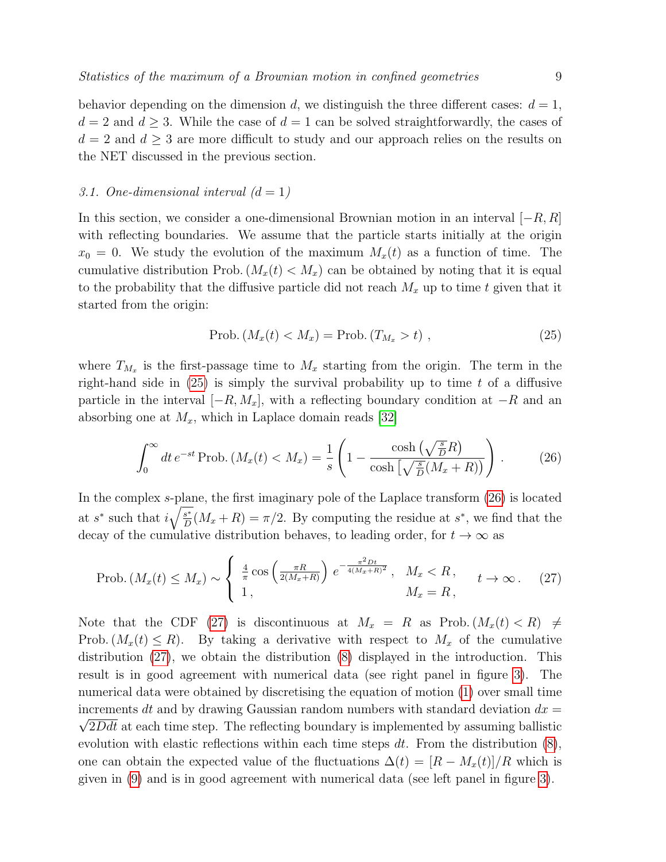behavior depending on the dimension d, we distinguish the three different cases:  $d = 1$ ,  $d = 2$  and  $d \geq 3$ . While the case of  $d = 1$  can be solved straightforwardly, the cases of  $d = 2$  and  $d \geq 3$  are more difficult to study and our approach relies on the results on the NET discussed in the previous section.

#### 3.1. One-dimensional interval  $(d = 1)$

In this section, we consider a one-dimensional Brownian motion in an interval  $[-R, R]$ with reflecting boundaries. We assume that the particle starts initially at the origin  $x_0 = 0$ . We study the evolution of the maximum  $M_x(t)$  as a function of time. The cumulative distribution Prob.  $(M_x(t) < M_x)$  can be obtained by noting that it is equal to the probability that the diffusive particle did not reach  $M_x$  up to time t given that it started from the origin:

<span id="page-8-2"></span><span id="page-8-1"></span><span id="page-8-0"></span>
$$
Prob. (M_x(t) < M_x) = Prob. (T_{M_x} > t) \tag{25}
$$

where  $T_{M_x}$  is the first-passage time to  $M_x$  starting from the origin. The term in the right-hand side in  $(25)$  is simply the survival probability up to time t of a diffusive particle in the interval  $[-R, M_x]$ , with a reflecting boundary condition at  $-R$  and an absorbing one at  $M_x$ , which in Laplace domain reads [\[32\]](#page-17-22)

$$
\int_0^\infty dt \, e^{-st} \operatorname{Prob.} \left( M_x(t) < M_x \right) = \frac{1}{s} \left( 1 - \frac{\cosh\left(\sqrt{\frac{s}{D}}R\right)}{\cosh\left(\sqrt{\frac{s}{D}}(M_x + R)\right)} \right) \,. \tag{26}
$$

In the complex s-plane, the first imaginary pole of the Laplace transform [\(26\)](#page-8-1) is located at s<sup>\*</sup> such that  $i\sqrt{\frac{s^*}{D}}$  $\frac{s^*}{D}(M_x + R) = \pi/2$ . By computing the residue at  $s^*$ , we find that the decay of the cumulative distribution behaves, to leading order, for  $t \to \infty$  as

$$
\text{Prob.}\left(M_x(t) \le M_x\right) \sim \begin{cases} \frac{4}{\pi} \cos\left(\frac{\pi R}{2(M_x + R)}\right) e^{-\frac{\pi^2 Dt}{4(M_x + R)^2}}, & M_x < R, \\ 1, & M_x = R, \end{cases} \quad t \to \infty. \tag{27}
$$

Note that the CDF [\(27\)](#page-8-2) is discontinuous at  $M_x = R$  as Prob.  $(M_x(t) < R) \neq$ Prob.  $(M_x(t) \leq R)$ . By taking a derivative with respect to  $M_x$  of the cumulative distribution [\(27\)](#page-8-2), we obtain the distribution [\(8\)](#page-3-1) displayed in the introduction. This result is in good agreement with numerical data (see right panel in figure [3\)](#page-9-0). The numerical data were obtained by discretising the equation of motion [\(1\)](#page-1-2) over small time increments dt and by drawing Gaussian random numbers with standard deviation  $dx =$  $\sqrt{2}Ddt$  at each time step. The reflecting boundary is implemented by assuming ballistic evolution with elastic reflections within each time steps  $dt$ . From the distribution  $(8)$ , one can obtain the expected value of the fluctuations  $\Delta(t) = [R - M_x(t)]/R$  which is given in [\(9\)](#page-4-3) and is in good agreement with numerical data (see left panel in figure [3\)](#page-9-0).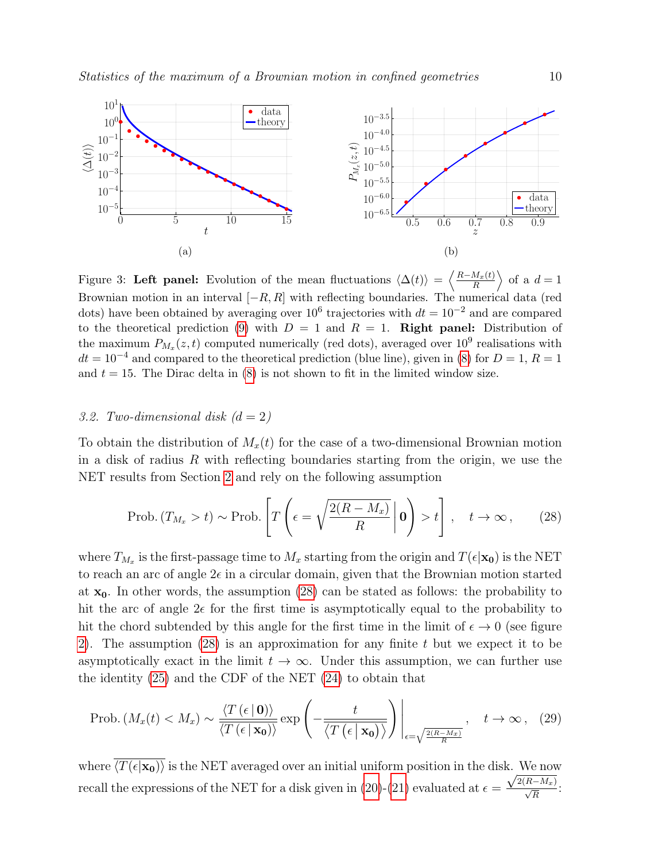<span id="page-9-0"></span>

Figure 3: Left panel: Evolution of the mean fluctuations  $\langle \Delta(t) \rangle = \left\langle \frac{R-M_x(t)}{R} \right\rangle$  $\frac{M_x(t)}{R}$  of a  $d=1$ Brownian motion in an interval  $[-R, R]$  with reflecting boundaries. The numerical data (red dots) have been obtained by averaging over  $10^6$  trajectories with  $dt = 10^{-2}$  and are compared to the theoretical prediction [\(9\)](#page-4-3) with  $D = 1$  and  $R = 1$ . Right panel: Distribution of the maximum  $P_{M_x}(z,t)$  computed numerically (red dots), averaged over  $10^9$  realisations with  $dt = 10^{-4}$  and compared to the theoretical prediction (blue line), given in [\(8\)](#page-3-1) for  $D = 1, R = 1$ and  $t = 15$ . The Dirac delta in [\(8\)](#page-3-1) is not shown to fit in the limited window size.

## <span id="page-9-3"></span>3.2. Two-dimensional disk  $(d = 2)$

To obtain the distribution of  $M_x(t)$  for the case of a two-dimensional Brownian motion in a disk of radius  $R$  with reflecting boundaries starting from the origin, we use the NET results from Section [2](#page-5-1) and rely on the following assumption

<span id="page-9-1"></span>
$$
\text{Prob.} (T_{M_x} > t) \sim \text{Prob.} \left[ T \left( \epsilon = \sqrt{\frac{2(R - M_x)}{R}} \, \middle| \, \mathbf{0} \right) > t \right], \quad t \to \infty \,, \tag{28}
$$

where  $T_{M_x}$  is the first-passage time to  $M_x$  starting from the origin and  $T(\epsilon|\mathbf{x_0})$  is the NET to reach an arc of angle  $2\epsilon$  in a circular domain, given that the Brownian motion started at  $x_0$ . In other words, the assumption [\(28\)](#page-9-1) can be stated as follows: the probability to hit the arc of angle  $2\epsilon$  for the first time is asymptotically equal to the probability to hit the chord subtended by this angle for the first time in the limit of  $\epsilon \to 0$  (see figure [2\)](#page-6-0). The assumption [\(28\)](#page-9-1) is an approximation for any finite t but we expect it to be asymptotically exact in the limit  $t \to \infty$ . Under this assumption, we can further use the identity [\(25\)](#page-8-0) and the CDF of the NET [\(24\)](#page-7-3) to obtain that

<span id="page-9-2"></span>
$$
\text{Prob.}\left(M_x(t) < M_x\right) \sim \frac{\langle T\left(\epsilon \,|\, \mathbf{0}\right) \rangle}{\langle T\left(\epsilon \,|\, \mathbf{x_0}\right) \rangle} \exp\left(-\frac{t}{\langle T\left(\epsilon \,|\, \mathbf{x_0}\right) \rangle}\right)\Bigg|_{\epsilon=\sqrt{\frac{2(R-M_x)}{R}}}, \quad t \to \infty\,,\tag{29}
$$

where  $\langle \overline{T(\epsilon|\mathbf{x_0})}\rangle$  is the NET averaged over an initial uniform position in the disk. We now recall the expressions of the NET for a disk given in [\(20\)](#page-6-2)-[\(21\)](#page-7-4) evaluated at  $\epsilon =$  $\frac{\sqrt{2(R-M_x)}}{\sqrt{R}}$ :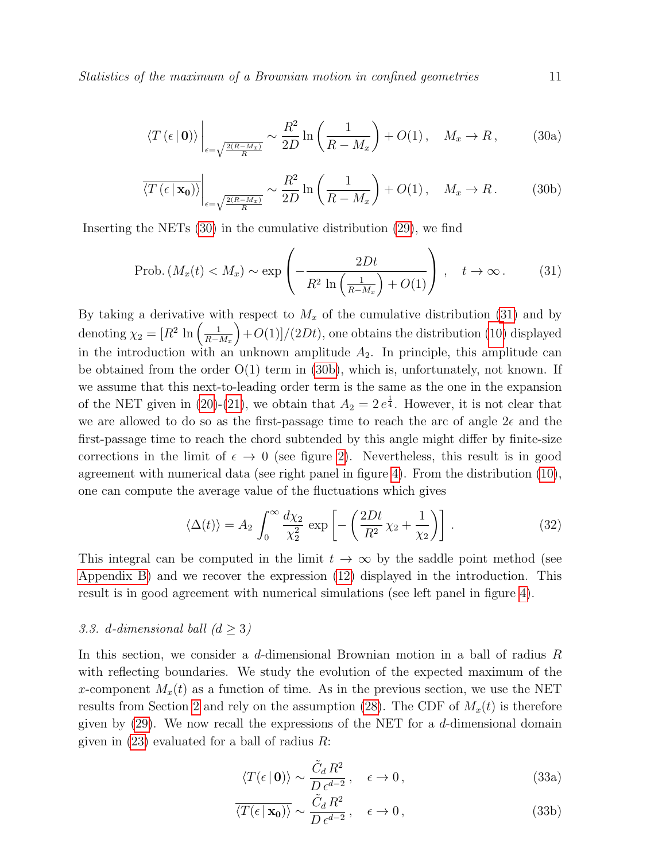$$
\langle T\left(\epsilon \,|\, \mathbf{0}\right) \rangle \Big|_{\epsilon=\sqrt{\frac{2\left(R-Mx\right)}{R}}} \sim \frac{R^2}{2D} \ln\left(\frac{1}{R-M_x}\right) + O(1)\,, \quad M_x \to R\,, \tag{30a}
$$

<span id="page-10-1"></span><span id="page-10-0"></span>
$$
\overline{\langle T\left(\epsilon \mid \mathbf{x_0}\right) \rangle} \bigg|_{\epsilon = \sqrt{\frac{2(R - M_x)}{R}}} \sim \frac{R^2}{2D} \ln\left(\frac{1}{R - M_x}\right) + O(1), \quad M_x \to R. \tag{30b}
$$

Inserting the NETs [\(30\)](#page-10-0) in the cumulative distribution [\(29\)](#page-9-2), we find

$$
\text{Prob.}\left(M_x(t) < M_x\right) \sim \exp\left(-\frac{2Dt}{R^2 \ln\left(\frac{1}{R - M_x}\right) + O(1)}\right), \quad t \to \infty. \tag{31}
$$

By taking a derivative with respect to  $M_x$  of the cumulative distribution [\(31\)](#page-10-1) and by denoting  $\chi_2 = [R^2 \ln \left( \frac{1}{R-1} \right)]$  $R-M_x$  $+O(1)/(2Dt)$ , one obtains the distribution [\(10\)](#page-4-0) displayed in the introduction with an unknown amplitude  $A_2$ . In principle, this amplitude can be obtained from the order  $O(1)$  term in  $(30b)$ , which is, unfortunately, not known. If we assume that this next-to-leading order term is the same as the one in the expansion of the NET given in [\(20\)](#page-6-2)-[\(21\)](#page-7-4), we obtain that  $A_2 = 2 e^{\frac{1}{4}}$ . However, it is not clear that we are allowed to do so as the first-passage time to reach the arc of angle  $2\epsilon$  and the first-passage time to reach the chord subtended by this angle might differ by finite-size corrections in the limit of  $\epsilon \to 0$  (see figure [2\)](#page-6-0). Nevertheless, this result is in good agreement with numerical data (see right panel in figure [4\)](#page-11-1). From the distribution [\(10\)](#page-4-0), one can compute the average value of the fluctuations which gives

<span id="page-10-3"></span>
$$
\langle \Delta(t) \rangle = A_2 \int_0^\infty \frac{d\chi_2}{\chi_2^2} \exp\left[ -\left( \frac{2Dt}{R^2} \chi_2 + \frac{1}{\chi_2} \right) \right]. \tag{32}
$$

This integral can be computed in the limit  $t \to \infty$  by the saddle point method (see [Appendix B\)](#page-15-1) and we recover the expression [\(12\)](#page-4-2) displayed in the introduction. This result is in good agreement with numerical simulations (see left panel in figure [4\)](#page-11-1).

# 3.3. d-dimensional ball  $(d > 3)$

In this section, we consider a  $d$ -dimensional Brownian motion in a ball of radius  $R$ with reflecting boundaries. We study the evolution of the expected maximum of the x-component  $M_x(t)$  as a function of time. As in the previous section, we use the NET results from Section [2](#page-5-1) and rely on the assumption [\(28\)](#page-9-1). The CDF of  $M_x(t)$  is therefore given by [\(29\)](#page-9-2). We now recall the expressions of the NET for a d-dimensional domain given in  $(23)$  evaluated for a ball of radius R:

<span id="page-10-2"></span>
$$
\langle T(\epsilon \mid \mathbf{0}) \rangle \sim \frac{\tilde{C}_d R^2}{D \epsilon^{d-2}}, \quad \epsilon \to 0, \tag{33a}
$$

$$
\overline{\langle T(\epsilon \mid \mathbf{x_0}) \rangle} \sim \frac{\tilde{C}_d R^2}{D \epsilon^{d-2}}, \quad \epsilon \to 0, \tag{33b}
$$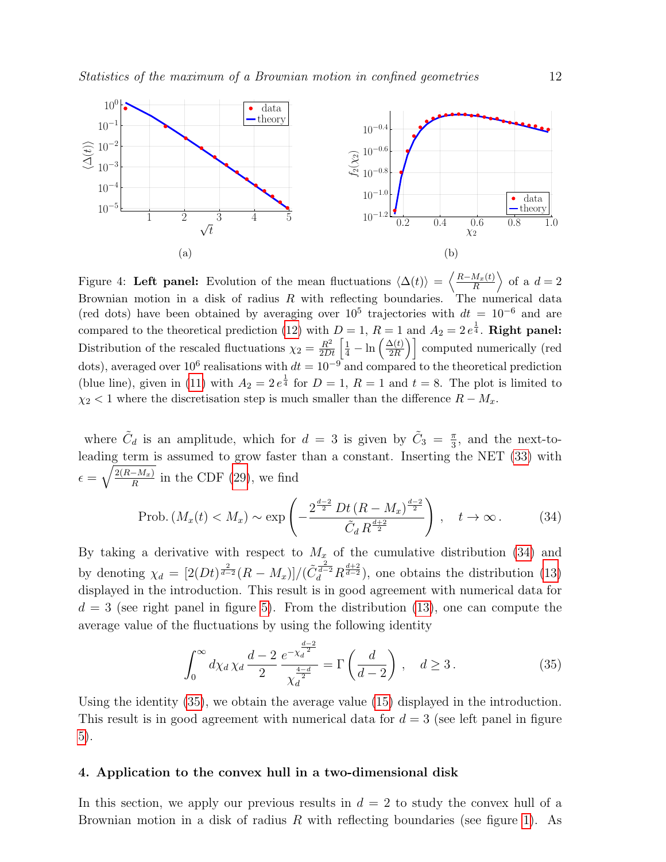<span id="page-11-1"></span>

Figure 4: Left panel: Evolution of the mean fluctuations  $\langle \Delta(t) \rangle = \left\langle \frac{R-M_x(t)}{R} \right\rangle$  $\frac{M_x(t)}{R}$  of a  $d=2$ Brownian motion in a disk of radius  $R$  with reflecting boundaries. The numerical data (red dots) have been obtained by averaging over  $10^5$  trajectories with  $dt = 10^{-6}$  and are compared to the theoretical prediction [\(12\)](#page-4-2) with  $D=1$ ,  $R=1$  and  $A_2=2e^{\frac{1}{4}}$ . **Right panel:** Distribution of the rescaled fluctuations  $\chi_2 = \frac{R^2}{2Dt} \left[ \frac{1}{4} - \ln \left( \frac{\Delta(t)}{2R} \right) \right]$  $\left(\frac{\Delta(t)}{2R}\right)$  computed numerically (red dots), averaged over 10<sup>6</sup> realisations with  $dt = 10^{-9}$  and compared to the theoretical prediction (blue line), given in [\(11\)](#page-4-4) with  $A_2 = 2e^{\frac{1}{4}}$  for  $D = 1$ ,  $R = 1$  and  $t = 8$ . The plot is limited to  $\chi_2$  < 1 where the discretisation step is much smaller than the difference  $R - M_x$ .

where  $\tilde{C}_d$  is an amplitude, which for  $d = 3$  is given by  $\tilde{C}_3 = \frac{\pi}{3}$  $\frac{\pi}{3}$ , and the next-toleading term is assumed to grow faster than a constant. Inserting the NET [\(33\)](#page-10-2) with  $\epsilon = \sqrt{\frac{2(R-M_x)}{R}}$  $\frac{-M_x}{R}$  in the CDF [\(29\)](#page-9-2), we find

$$
\text{Prob.}\left(M_x(t) < M_x\right) \sim \exp\left(-\frac{2^{\frac{d-2}{2}} D t \left(R - M_x\right)^{\frac{d-2}{2}}}{\tilde{C}_d R^{\frac{d+2}{2}}}\right), \quad t \to \infty\,. \tag{34}
$$

By taking a derivative with respect to  $M_x$  of the cumulative distribution [\(34\)](#page-11-2) and by denoting  $\chi_d = \left[2(Dt)^{\frac{2}{d-2}}(R-M_x)\right]/(\tilde{C}_d^{\frac{2}{d-2}}R^{\frac{d+2}{d-2}})$ , one obtains the distribution [\(13\)](#page-4-1) displayed in the introduction. This result is in good agreement with numerical data for  $d = 3$  (see right panel in figure [5\)](#page-12-0). From the distribution [\(13\)](#page-4-1), one can compute the average value of the fluctuations by using the following identity

<span id="page-11-3"></span><span id="page-11-2"></span>
$$
\int_0^\infty d\chi_d \,\chi_d \,\frac{d-2}{2} \,\frac{e^{-\chi_d^{\frac{d-2}{2}}}}{\chi_d^{\frac{4-d}{2}}} = \Gamma\left(\frac{d}{d-2}\right) \,, \quad d \ge 3 \,. \tag{35}
$$

Using the identity [\(35\)](#page-11-3), we obtain the average value [\(15\)](#page-5-0) displayed in the introduction. This result is in good agreement with numerical data for  $d = 3$  (see left panel in figure [5\)](#page-12-0).

#### <span id="page-11-0"></span>4. Application to the convex hull in a two-dimensional disk

In this section, we apply our previous results in  $d = 2$  to study the convex hull of a Brownian motion in a disk of radius  $R$  with reflecting boundaries (see figure [1\)](#page-3-0). As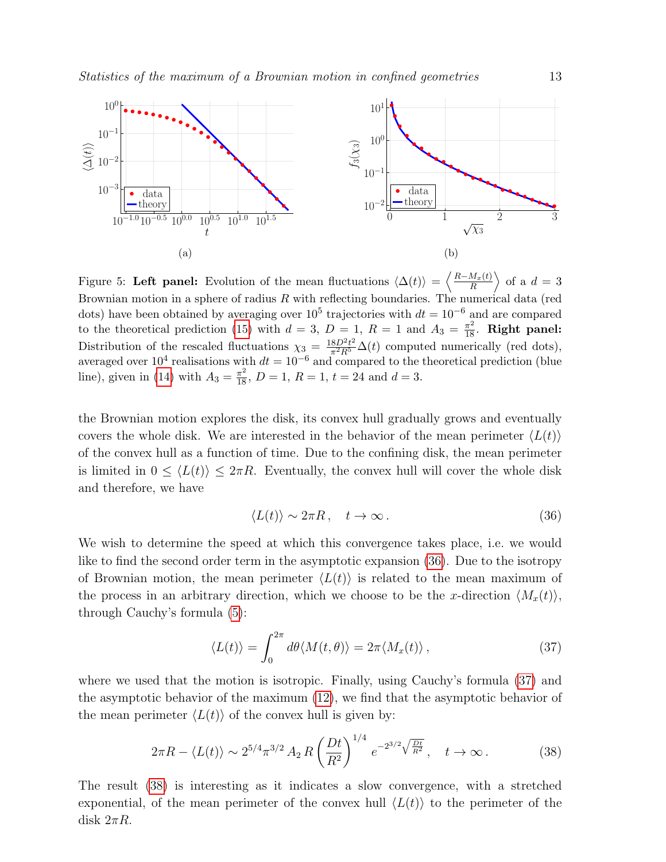<span id="page-12-0"></span>

Figure 5: Left panel: Evolution of the mean fluctuations  $\langle \Delta(t) \rangle = \left\langle \frac{R-M_x(t)}{R} \right\rangle$  $\frac{M_x(t)}{R}$  of a  $d=3$ Brownian motion in a sphere of radius  $R$  with reflecting boundaries. The numerical data (red dots) have been obtained by averaging over  $10^5$  trajectories with  $dt = 10^{-6}$  and are compared to the theoretical prediction [\(15\)](#page-5-0) with  $d = 3$ ,  $D = 1$ ,  $R = 1$  and  $A_3 = \frac{\pi^2}{18}$ . **Right panel:** Distribution of the rescaled fluctuations  $\chi_3 = \frac{18D^2 t^2}{\pi^2 R^5} \Delta(t)$  computed numerically (red dots), averaged over  $10^4$  realisations with  $dt = 10^{-6}$  and compared to the theoretical prediction (blue line), given in [\(14\)](#page-4-5) with  $A_3 = \frac{\pi^2}{18}$ ,  $D = 1$ ,  $R = 1$ ,  $t = 24$  and  $d = 3$ .

the Brownian motion explores the disk, its convex hull gradually grows and eventually covers the whole disk. We are interested in the behavior of the mean perimeter  $\langle L(t) \rangle$ of the convex hull as a function of time. Due to the confining disk, the mean perimeter is limited in  $0 \leq \langle L(t) \rangle \leq 2\pi R$ . Eventually, the convex hull will cover the whole disk and therefore, we have

<span id="page-12-2"></span><span id="page-12-1"></span>
$$
\langle L(t) \rangle \sim 2\pi R, \quad t \to \infty. \tag{36}
$$

We wish to determine the speed at which this convergence takes place, i.e. we would like to find the second order term in the asymptotic expansion [\(36\)](#page-12-1). Due to the isotropy of Brownian motion, the mean perimeter  $\langle L(t) \rangle$  is related to the mean maximum of the process in an arbitrary direction, which we choose to be the x-direction  $\langle M_x(t) \rangle$ , through Cauchy's formula [\(5\)](#page-2-0):

<span id="page-12-3"></span>
$$
\langle L(t) \rangle = \int_0^{2\pi} d\theta \langle M(t, \theta) \rangle = 2\pi \langle M_x(t) \rangle, \qquad (37)
$$

where we used that the motion is isotropic. Finally, using Cauchy's formula [\(37\)](#page-12-2) and the asymptotic behavior of the maximum [\(12\)](#page-4-2), we find that the asymptotic behavior of the mean perimeter  $\langle L(t) \rangle$  of the convex hull is given by:

$$
2\pi R - \langle L(t) \rangle \sim 2^{5/4} \pi^{3/2} A_2 R \left(\frac{Dt}{R^2}\right)^{1/4} e^{-2^{3/2} \sqrt{\frac{Dt}{R^2}}}, \quad t \to \infty.
$$
 (38)

The result [\(38\)](#page-12-3) is interesting as it indicates a slow convergence, with a stretched exponential, of the mean perimeter of the convex hull  $\langle L(t) \rangle$  to the perimeter of the disk  $2\pi R$ .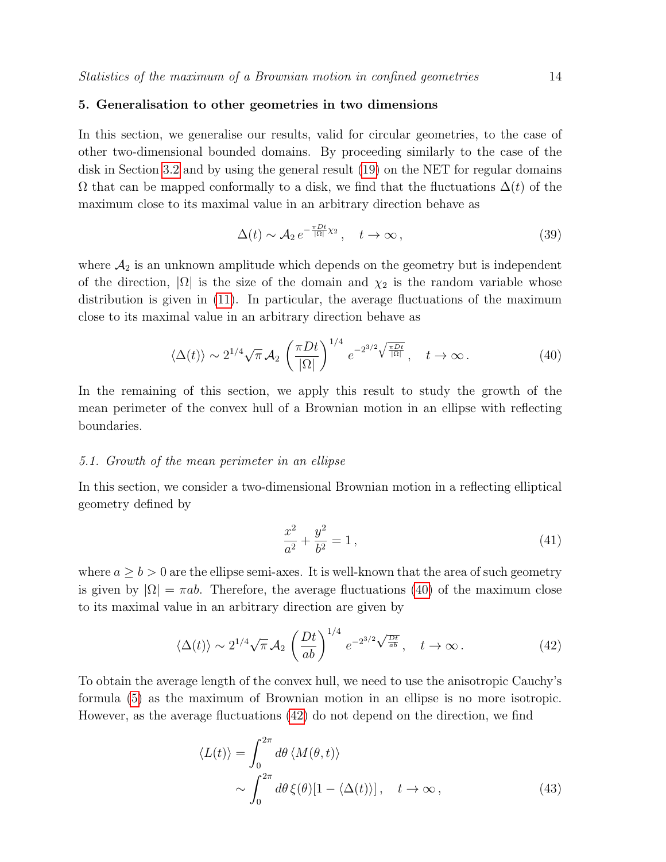# <span id="page-13-0"></span>5. Generalisation to other geometries in two dimensions

In this section, we generalise our results, valid for circular geometries, to the case of other two-dimensional bounded domains. By proceeding similarly to the case of the disk in Section [3.2](#page-9-3) and by using the general result [\(19\)](#page-6-1) on the NET for regular domains  $\Omega$  that can be mapped conformally to a disk, we find that the fluctuations  $\Delta(t)$  of the maximum close to its maximal value in an arbitrary direction behave as

$$
\Delta(t) \sim \mathcal{A}_2 e^{-\frac{\pi Dt}{|\Omega|}\chi_2}, \quad t \to \infty, \tag{39}
$$

where  $A_2$  is an unknown amplitude which depends on the geometry but is independent of the direction,  $|\Omega|$  is the size of the domain and  $\chi_2$  is the random variable whose distribution is given in [\(11\)](#page-4-4). In particular, the average fluctuations of the maximum close to its maximal value in an arbitrary direction behave as

$$
\langle \Delta(t) \rangle \sim 2^{1/4} \sqrt{\pi} \mathcal{A}_2 \left( \frac{\pi D t}{|\Omega|} \right)^{1/4} e^{-2^{3/2} \sqrt{\frac{\pi D t}{|\Omega|}}}, \quad t \to \infty.
$$
 (40)

In the remaining of this section, we apply this result to study the growth of the mean perimeter of the convex hull of a Brownian motion in an ellipse with reflecting boundaries.

## 5.1. Growth of the mean perimeter in an ellipse

In this section, we consider a two-dimensional Brownian motion in a reflecting elliptical geometry defined by

<span id="page-13-2"></span><span id="page-13-1"></span>
$$
\frac{x^2}{a^2} + \frac{y^2}{b^2} = 1\,,\tag{41}
$$

where  $a \geq b > 0$  are the ellipse semi-axes. It is well-known that the area of such geometry is given by  $|\Omega| = \pi ab$ . Therefore, the average fluctuations [\(40\)](#page-13-1) of the maximum close to its maximal value in an arbitrary direction are given by

$$
\langle \Delta(t) \rangle \sim 2^{1/4} \sqrt{\pi} \mathcal{A}_2 \left( \frac{Dt}{ab} \right)^{1/4} e^{-2^{3/2} \sqrt{\frac{Dt}{ab}}}, \quad t \to \infty.
$$
 (42)

To obtain the average length of the convex hull, we need to use the anisotropic Cauchy's formula [\(5\)](#page-2-0) as the maximum of Brownian motion in an ellipse is no more isotropic. However, as the average fluctuations [\(42\)](#page-13-2) do not depend on the direction, we find

<span id="page-13-3"></span>
$$
\langle L(t) \rangle = \int_0^{2\pi} d\theta \langle M(\theta, t) \rangle
$$
  
 
$$
\sim \int_0^{2\pi} d\theta \, \xi(\theta) [1 - \langle \Delta(t) \rangle], \quad t \to \infty,
$$
 (43)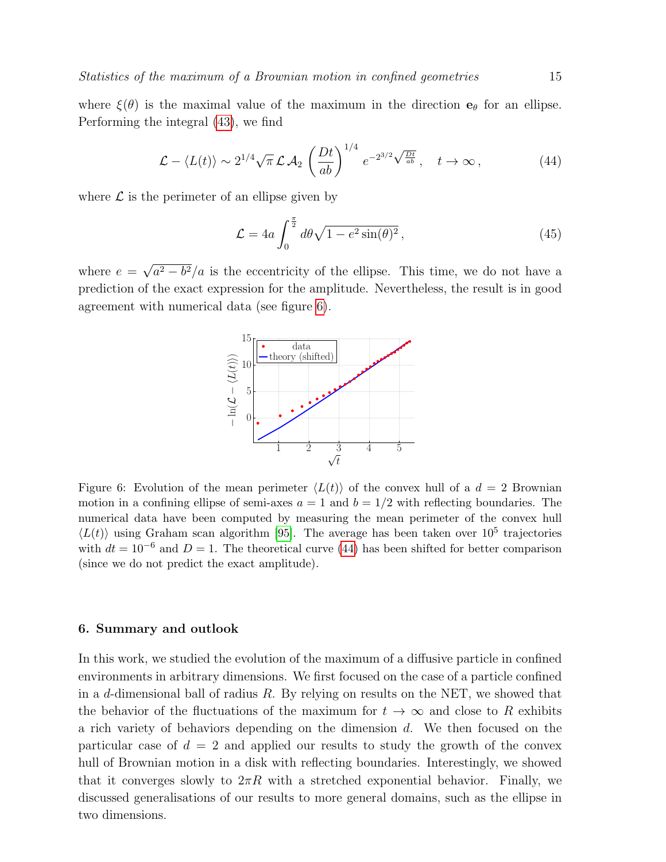where  $\xi(\theta)$  is the maximal value of the maximum in the direction  $\mathbf{e}_{\theta}$  for an ellipse. Performing the integral [\(43\)](#page-13-3), we find

$$
\mathcal{L} - \langle L(t) \rangle \sim 2^{1/4} \sqrt{\pi} \, \mathcal{L} \, \mathcal{A}_2 \left( \frac{Dt}{ab} \right)^{1/4} e^{-2^{3/2} \sqrt{\frac{Dt}{ab}}}, \quad t \to \infty \,, \tag{44}
$$

where  $\mathcal L$  is the perimeter of an ellipse given by

<span id="page-14-2"></span>
$$
\mathcal{L} = 4a \int_0^{\frac{\pi}{2}} d\theta \sqrt{1 - e^2 \sin(\theta)^2},\tag{45}
$$

<span id="page-14-1"></span>where  $e = \sqrt{a^2 - b^2}/a$  is the eccentricity of the ellipse. This time, we do not have a prediction of the exact expression for the amplitude. Nevertheless, the result is in good agreement with numerical data (see figure [6\)](#page-14-1).



Figure 6: Evolution of the mean perimeter  $\langle L(t) \rangle$  of the convex hull of a  $d = 2$  Brownian motion in a confining ellipse of semi-axes  $a = 1$  and  $b = 1/2$  with reflecting boundaries. The numerical data have been computed by measuring the mean perimeter of the convex hull  $\langle L(t) \rangle$  using Graham scan algorithm [\[95\]](#page-18-13). The average has been taken over 10<sup>5</sup> trajectories with  $dt = 10^{-6}$  and  $D = 1$ . The theoretical curve [\(44\)](#page-14-2) has been shifted for better comparison (since we do not predict the exact amplitude).

# <span id="page-14-0"></span>6. Summary and outlook

In this work, we studied the evolution of the maximum of a diffusive particle in confined environments in arbitrary dimensions. We first focused on the case of a particle confined in a d-dimensional ball of radius  $R$ . By relying on results on the NET, we showed that the behavior of the fluctuations of the maximum for  $t \to \infty$  and close to R exhibits a rich variety of behaviors depending on the dimension d. We then focused on the particular case of  $d = 2$  and applied our results to study the growth of the convex hull of Brownian motion in a disk with reflecting boundaries. Interestingly, we showed that it converges slowly to  $2\pi R$  with a stretched exponential behavior. Finally, we discussed generalisations of our results to more general domains, such as the ellipse in two dimensions.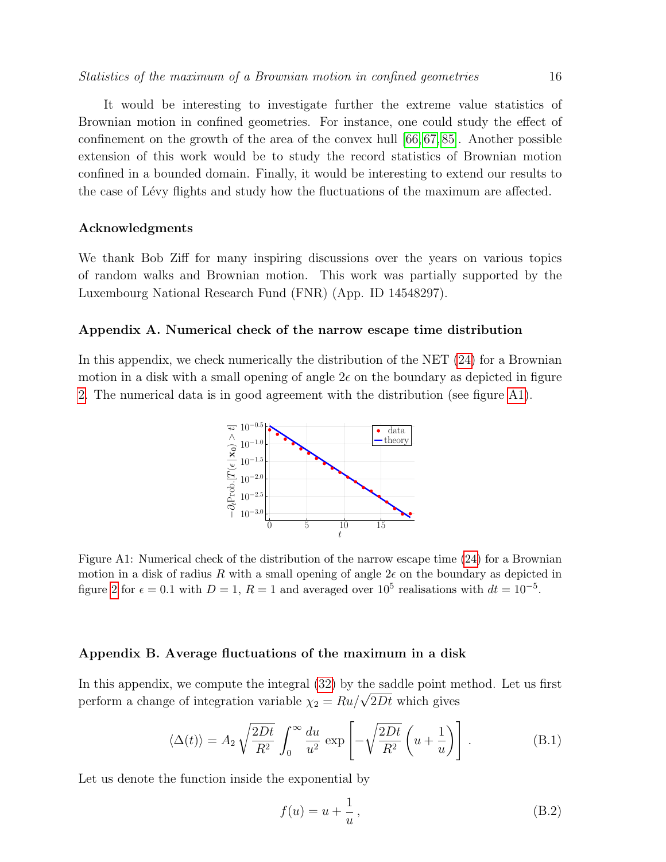It would be interesting to investigate further the extreme value statistics of Brownian motion in confined geometries. For instance, one could study the effect of confinement on the growth of the area of the convex hull [\[66,](#page-17-21) [67,](#page-17-20) [85\]](#page-18-3). Another possible extension of this work would be to study the record statistics of Brownian motion confined in a bounded domain. Finally, it would be interesting to extend our results to the case of Lévy flights and study how the fluctuations of the maximum are affected.

## Acknowledgments

We thank Bob Ziff for many inspiring discussions over the years on various topics of random walks and Brownian motion. This work was partially supported by the Luxembourg National Research Fund (FNR) (App. ID 14548297).

# <span id="page-15-0"></span>Appendix A. Numerical check of the narrow escape time distribution

<span id="page-15-2"></span>In this appendix, we check numerically the distribution of the NET [\(24\)](#page-7-3) for a Brownian motion in a disk with a small opening of angle  $2\epsilon$  on the boundary as depicted in figure [2.](#page-6-0) The numerical data is in good agreement with the distribution (see figure [A1\)](#page-15-2).



Figure A1: Numerical check of the distribution of the narrow escape time [\(24\)](#page-7-3) for a Brownian motion in a disk of radius R with a small opening of angle  $2\epsilon$  on the boundary as depicted in figure [2](#page-6-0) for  $\epsilon = 0.1$  with  $D = 1, R = 1$  and averaged over  $10^5$  realisations with  $dt = 10^{-5}$ .

## <span id="page-15-1"></span>Appendix B. Average fluctuations of the maximum in a disk

In this appendix, we compute the integral [\(32\)](#page-10-3) by the saddle point method. Let us first perform a change of integration variable  $\chi_2 = R u / \sqrt{2Dt}$  which gives

$$
\langle \Delta(t) \rangle = A_2 \sqrt{\frac{2Dt}{R^2}} \int_0^\infty \frac{du}{u^2} \exp\left[ -\sqrt{\frac{2Dt}{R^2}} \left( u + \frac{1}{u} \right) \right]. \tag{B.1}
$$

Let us denote the function inside the exponential by

<span id="page-15-3"></span>
$$
f(u) = u + \frac{1}{u},\tag{B.2}
$$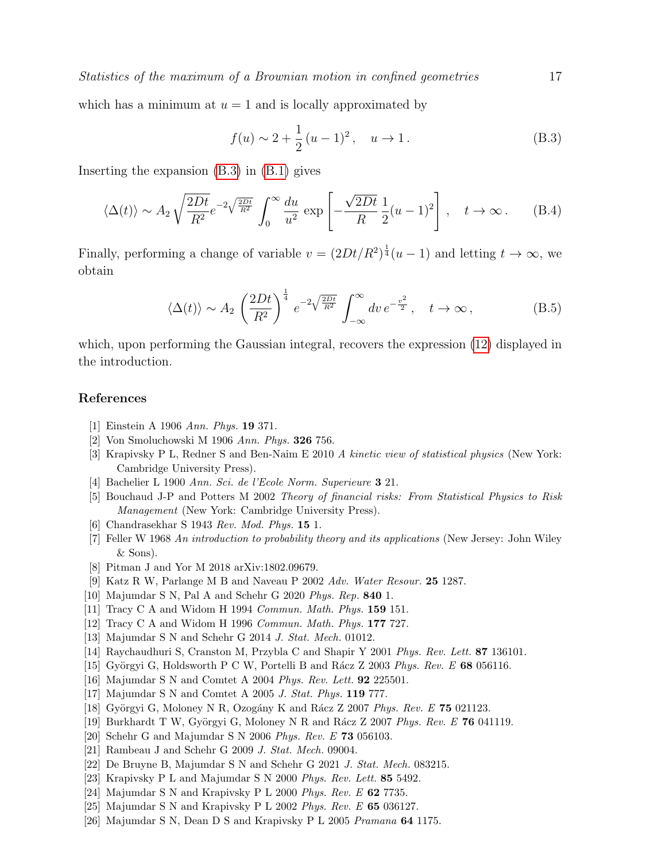which has a minimum at  $u = 1$  and is locally approximated by

<span id="page-16-17"></span>
$$
f(u) \sim 2 + \frac{1}{2}(u-1)^2, \quad u \to 1.
$$
 (B.3)

Inserting the expansion [\(B.3\)](#page-16-17) in [\(B.1\)](#page-15-3) gives

$$
\langle \Delta(t) \rangle \sim A_2 \sqrt{\frac{2Dt}{R^2}} e^{-2\sqrt{\frac{2Dt}{R^2}}} \int_0^\infty \frac{du}{u^2} \exp\left[-\frac{\sqrt{2Dt}}{R} \frac{1}{2}(u-1)^2\right], \quad t \to \infty.
$$
 (B.4)

Finally, performing a change of variable  $v = (2Dt/R^2)^{\frac{1}{4}}(u-1)$  and letting  $t \to \infty$ , we obtain

$$
\langle \Delta(t) \rangle \sim A_2 \left(\frac{2Dt}{R^2}\right)^{\frac{1}{4}} e^{-2\sqrt{\frac{2Dt}{R^2}}} \int_{-\infty}^{\infty} dv \, e^{-\frac{v^2}{2}}, \quad t \to \infty \,, \tag{B.5}
$$

which, upon performing the Gaussian integral, recovers the expression [\(12\)](#page-4-2) displayed in the introduction.

# References

- <span id="page-16-0"></span>[1] Einstein A 1906 Ann. Phys. 19 371.
- <span id="page-16-1"></span>[2] Von Smoluchowski M 1906 Ann. Phys. 326 756.
- <span id="page-16-2"></span>[3] Krapivsky P L, Redner S and Ben-Naim E 2010 A kinetic view of statistical physics (New York: Cambridge University Press).
- <span id="page-16-3"></span>[4] Bachelier L 1900 Ann. Sci. de l'Ecole Norm. Superieure 3 21.
- <span id="page-16-4"></span>[5] Bouchaud J-P and Potters M 2002 Theory of financial risks: From Statistical Physics to Risk Management (New York: Cambridge University Press).
- <span id="page-16-5"></span>[6] Chandrasekhar S 1943 Rev. Mod. Phys. 15 1.
- <span id="page-16-6"></span>[7] Feller W 1968 An introduction to probability theory and its applications (New Jersey: John Wiley & Sons).
- <span id="page-16-7"></span>[8] Pitman J and Yor M 2018 arXiv:1802.09679.
- <span id="page-16-8"></span>[9] Katz R W, Parlange M B and Naveau P 2002 Adv. Water Resour. 25 1287.
- <span id="page-16-9"></span>[10] Majumdar S N, Pal A and Schehr G 2020 Phys. Rep. **840** 1.
- <span id="page-16-10"></span>[11] Tracy C A and Widom H 1994 Commun. Math. Phys. **159** 151.
- [12] Tracy C A and Widom H 1996 Commun. Math. Phys. 177 727.
- <span id="page-16-11"></span>[13] Majumdar S N and Schehr G 2014 J. Stat. Mech. 01012.
- <span id="page-16-12"></span>[14] Raychaudhuri S, Cranston M, Przybla C and Shapir Y 2001 Phys. Rev. Lett. 87 136101.
- [15] Györgyi G, Holdsworth P C W, Portelli B and R $\acute{a}$ cz Z 2003 Phys. Rev. E 68 056116.
- [16] Majumdar S N and Comtet A 2004 Phys. Rev. Lett. **92** 225501.
- [17] Majumdar S N and Comtet A 2005 J. Stat. Phys. 119 777.
- [18] Györgyi G, Moloney N R, Ozogány K and Rácz Z 2007 Phys. Rev. E  $75$  021123.
- <span id="page-16-16"></span>[19] Burkhardt T W, Györgyi G, Moloney N R and Rácz Z 2007 Phys. Rev. E 76 041119.
- [20] Schehr G and Majumdar S N 2006 Phys. Rev. E 73 056103.
- [21] Rambeau J and Schehr G 2009 J. Stat. Mech. 09004.
- <span id="page-16-13"></span>[22] De Bruyne B, Majumdar S N and Schehr G 2021 J. Stat. Mech. 083215.
- <span id="page-16-14"></span>[23] Krapivsky P L and Majumdar S N 2000 Phys. Rev. Lett. 85 5492.
- [24] Majumdar S N and Krapivsky P L 2000 Phys. Rev. E 62 7735.
- [25] Majumdar S N and Krapivsky P L 2002 Phys. Rev. E 65 036127.
- <span id="page-16-15"></span>[26] Majumdar S N, Dean D S and Krapivsky P L 2005 Pramana 64 1175.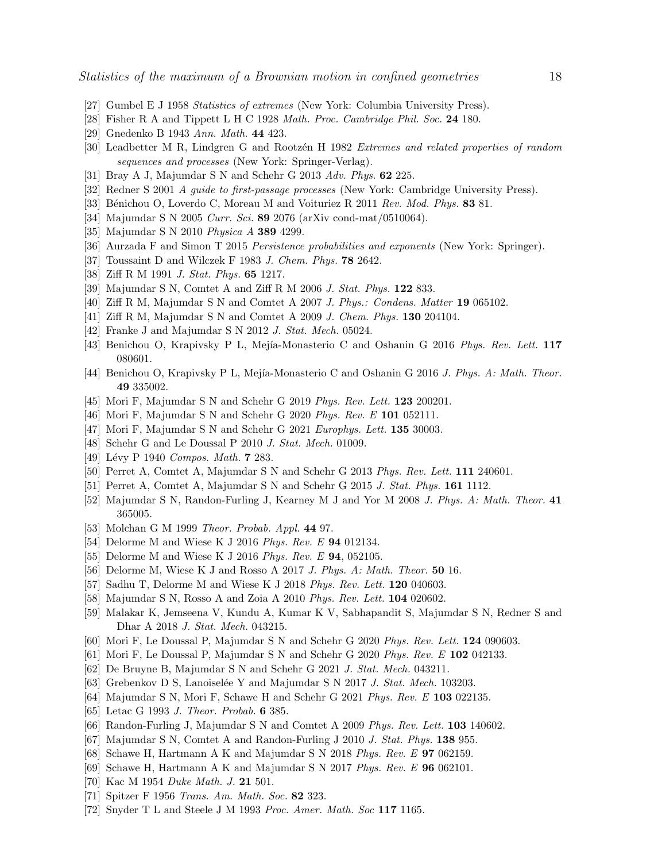- <span id="page-17-0"></span>[27] Gumbel E J 1958 Statistics of extremes (New York: Columbia University Press).
- [28] Fisher R A and Tippett L H C 1928 Math. Proc. Cambridge Phil. Soc. 24 180.
- [29] Gnedenko B 1943 Ann. Math. 44 423.
- <span id="page-17-1"></span>[30] Leadbetter M R, Lindgren G and Rootzen H 1982 Extremes and related properties of random sequences and processes (New York: Springer-Verlag).
- <span id="page-17-2"></span>[31] Bray A J, Majumdar S N and Schehr G 2013 Adv. Phys. 62 225.
- <span id="page-17-22"></span>[32] Redner S 2001 A guide to first-passage processes (New York: Cambridge University Press).
- [33] Bénichou O, Loverdo C, Moreau M and Voituriez R  $2011$  Rev. Mod. Phys. 83 81.
- [34] Majumdar S N 2005 Curr. Sci. **89** 2076 (arXiv cond-mat/0510064).
- [35] Majumdar S N 2010 Physica A **389** 4299.
- <span id="page-17-3"></span>[36] Aurzada F and Simon T 2015 Persistence probabilities and exponents (New York: Springer).
- <span id="page-17-4"></span>[37] Toussaint D and Wilczek F 1983 J. Chem. Phys. 78 2642.
- [38] Ziff R M 1991 J. Stat. Phys. 65 1217.
- [39] Majumdar S N, Comtet A and Ziff R M 2006 J. Stat. Phys. **122** 833.
- [40] Ziff R M, Majumdar S N and Comtet A 2007 J. Phys.: Condens. Matter 19 065102.
- [41] Ziff R M, Majumdar S N and Comtet A 2009 J. Chem. Phys. **130** 204104.
- <span id="page-17-5"></span>[42] Franke J and Majumdar S N 2012 J. Stat. Mech. 05024.
- <span id="page-17-6"></span>[43] Benichou O, Krapivsky P L, Mejía-Monasterio C and Oshanin G 2016 Phys. Rev. Lett. 117 080601.
- <span id="page-17-7"></span>[44] Benichou O, Krapivsky P L, Mejía-Monasterio C and Oshanin G 2016 J. Phys. A: Math. Theor. 49 335002.
- <span id="page-17-8"></span>[45] Mori F, Majumdar S N and Schehr G 2019 Phys. Rev. Lett. **123** 200201.
- [46] Mori F, Majumdar S N and Schehr G 2020 Phys. Rev. E **101** 052111.
- [47] Mori F, Majumdar S N and Schehr G 2021 Europhys. Lett. **135** 30003.
- <span id="page-17-9"></span>[48] Schehr G and Le Doussal P 2010 J. Stat. Mech. 01009.
- <span id="page-17-10"></span>[49] Lévy P 1940 Compos. Math. **7** 283.
- [50] Perret A, Comtet A, Majumdar S N and Schehr G 2013 Phys. Rev. Lett. 111 240601.
- <span id="page-17-11"></span>[51] Perret A, Comtet A, Majumdar S N and Schehr G 2015 J. Stat. Phys. 161 1112.
- <span id="page-17-12"></span>[52] Majumdar S N, Randon-Furling J, Kearney M J and Yor M 2008 J. Phys. A: Math. Theor. 41 365005.
- <span id="page-17-13"></span>[53] Molchan G M 1999 *Theor. Probab. Appl.* **44** 97.
- [54] Delorme M and Wiese K J 2016 *Phys. Rev. E* **94** 012134.
- [55] Delorme M and Wiese K J 2016 Phys. Rev. E 94, 052105.
- [56] Delorme M, Wiese K J and Rosso A 2017 J. Phys. A: Math. Theor. 50 16.
- <span id="page-17-14"></span>[57] Sadhu T, Delorme M and Wiese K J 2018 Phys. Rev. Lett. 120 040603.
- <span id="page-17-15"></span>[58] Majumdar S N, Rosso A and Zoia A 2010 Phys. Rev. Lett. 104 020602.
- <span id="page-17-16"></span>[59] Malakar K, Jemseena V, Kundu A, Kumar K V, Sabhapandit S, Majumdar S N, Redner S and Dhar A 2018 J. Stat. Mech. 043215.
- [60] Mori F, Le Doussal P, Majumdar S N and Schehr G 2020 Phys. Rev. Lett. 124 090603.
- [61] Mori F, Le Doussal P, Majumdar S N and Schehr G 2020 Phys. Rev. E 102 042133.
- <span id="page-17-17"></span>[62] De Bruyne B, Majumdar S N and Schehr G 2021 J. Stat. Mech. 043211.
- <span id="page-17-18"></span>[63] Grebenkov D S, Lanoiselée Y and Majumdar S N 2017 J. Stat. Mech. 103203.
- [64] Majumdar S N, Mori F, Schawe H and Schehr G 2021 Phys. Rev. E 103 022135.
- <span id="page-17-19"></span>[65] Letac G 1993 *J. Theor. Probab.* **6** 385.
- <span id="page-17-21"></span>[66] Randon-Furling J, Majumdar S N and Comtet A 2009 Phys. Rev. Lett. 103 140602.
- <span id="page-17-20"></span>[67] Majumdar S N, Comtet A and Randon-Furling J 2010 J. Stat. Phys. 138 955.
- [68] Schawe H, Hartmann A K and Majumdar S N 2018 Phys. Rev. E 97 062159.
- [69] Schawe H, Hartmann A K and Majumdar S N 2017 Phys. Rev. E 96 062101.
- [70] Kac M 1954 Duke Math. J. **21** 501.
- [71] Spitzer F 1956 Trans. Am. Math. Soc. 82 323.
- [72] Snyder T L and Steele J M 1993 Proc. Amer. Math. Soc 117 1165.